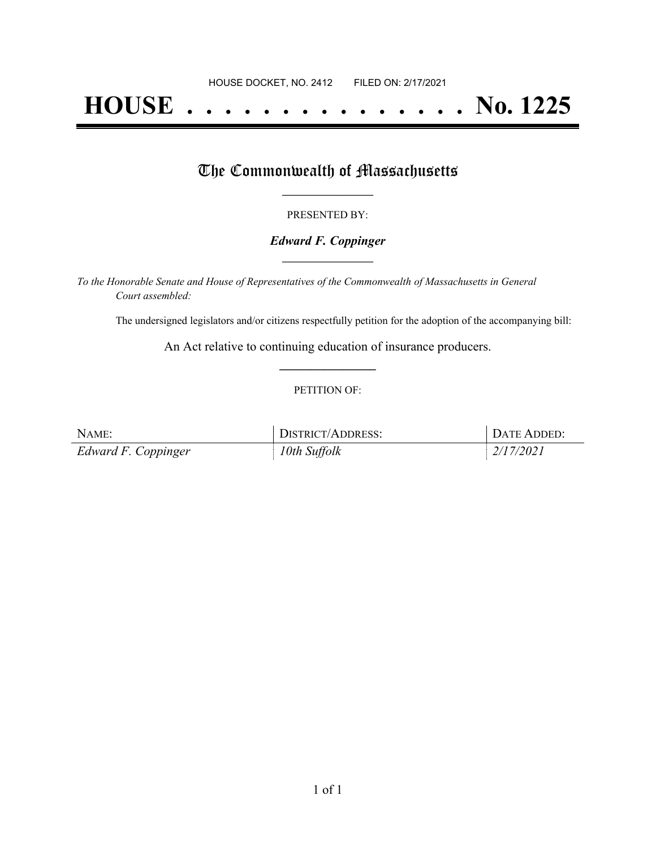# **HOUSE . . . . . . . . . . . . . . . No. 1225**

## The Commonwealth of Massachusetts

#### PRESENTED BY:

#### *Edward F. Coppinger* **\_\_\_\_\_\_\_\_\_\_\_\_\_\_\_\_\_**

*To the Honorable Senate and House of Representatives of the Commonwealth of Massachusetts in General Court assembled:*

The undersigned legislators and/or citizens respectfully petition for the adoption of the accompanying bill:

An Act relative to continuing education of insurance producers. **\_\_\_\_\_\_\_\_\_\_\_\_\_\_\_**

#### PETITION OF:

| NAME:               | <b>DISTRICT/ADDRESS:</b> | DATE ADDED:         |
|---------------------|--------------------------|---------------------|
| Edward F. Coppinger | 10th Suffolk             | $\frac{2}{17/2021}$ |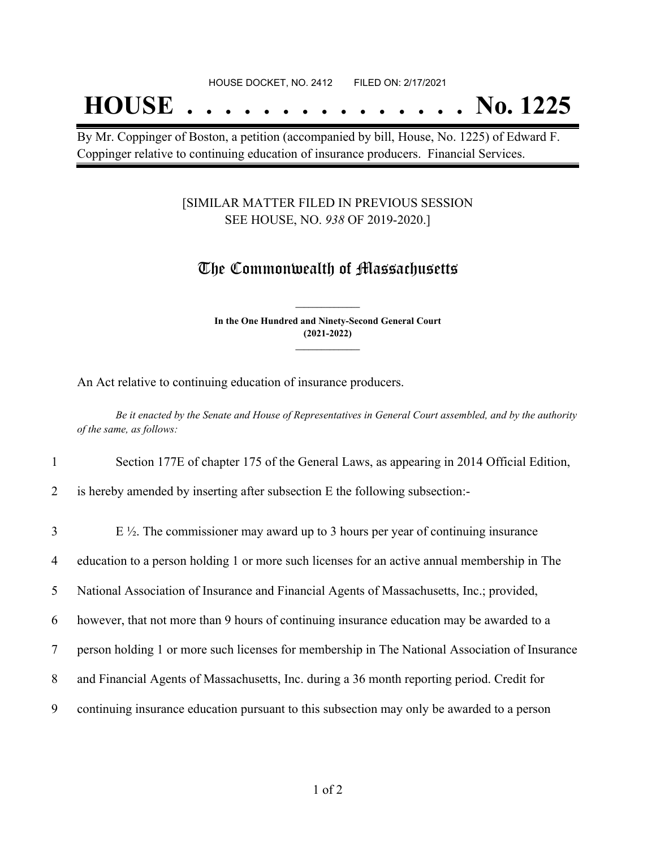## **HOUSE . . . . . . . . . . . . . . . No. 1225**

By Mr. Coppinger of Boston, a petition (accompanied by bill, House, No. 1225) of Edward F. Coppinger relative to continuing education of insurance producers. Financial Services.

#### [SIMILAR MATTER FILED IN PREVIOUS SESSION SEE HOUSE, NO. *938* OF 2019-2020.]

### The Commonwealth of Massachusetts

**In the One Hundred and Ninety-Second General Court (2021-2022) \_\_\_\_\_\_\_\_\_\_\_\_\_\_\_**

**\_\_\_\_\_\_\_\_\_\_\_\_\_\_\_**

An Act relative to continuing education of insurance producers.

Be it enacted by the Senate and House of Representatives in General Court assembled, and by the authority *of the same, as follows:*

- 1 Section 177E of chapter 175 of the General Laws, as appearing in 2014 Official Edition,
- 2 is hereby amended by inserting after subsection E the following subsection:-

| $\overline{3}$ | E $\frac{1}{2}$ . The commissioner may award up to 3 hours per year of continuing insurance    |
|----------------|------------------------------------------------------------------------------------------------|
| $\overline{4}$ | education to a person holding 1 or more such licenses for an active annual membership in The   |
| 5 <sup>5</sup> | National Association of Insurance and Financial Agents of Massachusetts, Inc.; provided,       |
| 6              | however, that not more than 9 hours of continuing insurance education may be awarded to a      |
| 7              | person holding 1 or more such licenses for membership in The National Association of Insurance |
| 8              | and Financial Agents of Massachusetts, Inc. during a 36 month reporting period. Credit for     |
| 9              | continuing insurance education pursuant to this subsection may only be awarded to a person     |